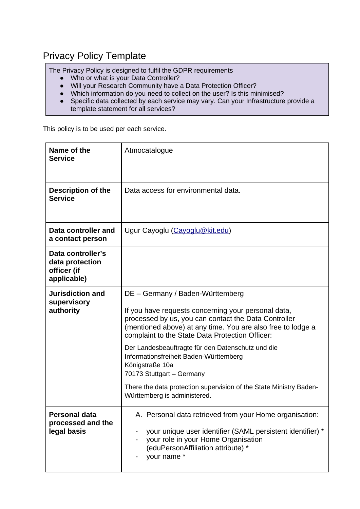## Privacy Policy Template

The Privacy Policy is designed to fulfil the GDPR requirements

- Who or what is your Data Controller?
- Will your Research Community have a Data Protection Officer?
- Which information do you need to collect on the user? Is this minimised?
- Specific data collected by each service may vary. Can your Infrastructure provide a template statement for all services?

This policy is to be used per each service.

| Name of the<br><b>Service</b>                                      | Atmocatalogue                                                                                                                                                                                                                                                                                                                                                                                                                                                                                                          |
|--------------------------------------------------------------------|------------------------------------------------------------------------------------------------------------------------------------------------------------------------------------------------------------------------------------------------------------------------------------------------------------------------------------------------------------------------------------------------------------------------------------------------------------------------------------------------------------------------|
| Description of the<br><b>Service</b>                               | Data access for environmental data.                                                                                                                                                                                                                                                                                                                                                                                                                                                                                    |
| Data controller and<br>a contact person                            | Ugur Cayoglu (Cayoglu@kit.edu)                                                                                                                                                                                                                                                                                                                                                                                                                                                                                         |
| Data controller's<br>data protection<br>officer (if<br>applicable) |                                                                                                                                                                                                                                                                                                                                                                                                                                                                                                                        |
| <b>Jurisdiction and</b><br>supervisory<br>authority                | DE - Germany / Baden-Württemberg<br>If you have requests concerning your personal data,<br>processed by us, you can contact the Data Controller<br>(mentioned above) at any time. You are also free to lodge a<br>complaint to the State Data Protection Officer:<br>Der Landesbeauftragte für den Datenschutz und die<br>Informationsfreiheit Baden-Württemberg<br>Königstraße 10a<br>70173 Stuttgart - Germany<br>There the data protection supervision of the State Ministry Baden-<br>Württemberg is administered. |
| Personal data<br>processed and the<br>legal basis                  | A. Personal data retrieved from your Home organisation:<br>your unique user identifier (SAML persistent identifier) *<br>your role in your Home Organisation<br>(eduPersonAffiliation attribute) *<br>your name *                                                                                                                                                                                                                                                                                                      |